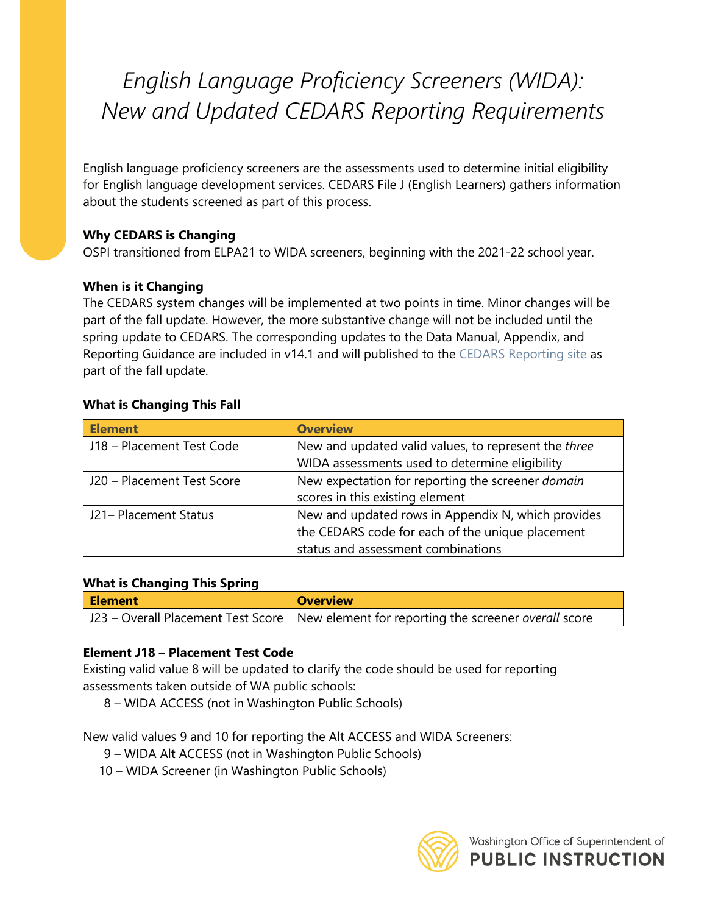# *English Language Proficiency Screeners (WIDA): New and Updated CEDARS Reporting Requirements*

English language proficiency screeners are the assessments used to determine initial eligibility for English language development services. CEDARS File J (English Learners) gathers information about the students screened as part of this process.

# **Why CEDARS is Changing**

OSPI transitioned from ELPA21 to WIDA screeners, beginning with the 2021-22 school year.

## **When is it Changing**

The CEDARS system changes will be implemented at two points in time. Minor changes will be part of the fall update. However, the more substantive change will not be included until the spring update to CEDARS. The corresponding updates to the Data Manual, Appendix, and Reporting Guidance are included in v14.1 and will published to the [CEDARS Reporting site](https://www.k12.wa.us/data-reporting/reporting/cedars) as part of the fall update.

## **What is Changing This Fall**

| <b>Element</b>             | <b>Overview</b>                                      |  |  |
|----------------------------|------------------------------------------------------|--|--|
| J18 - Placement Test Code  | New and updated valid values, to represent the three |  |  |
|                            | WIDA assessments used to determine eligibility       |  |  |
| J20 - Placement Test Score | New expectation for reporting the screener domain    |  |  |
|                            | scores in this existing element                      |  |  |
| J21- Placement Status      | New and updated rows in Appendix N, which provides   |  |  |
|                            | the CEDARS code for each of the unique placement     |  |  |
|                            | status and assessment combinations                   |  |  |

## **What is Changing This Spring**

| <b>Element</b> | <b>Overview</b>                                                                           |  |  |
|----------------|-------------------------------------------------------------------------------------------|--|--|
|                | J23 – Overall Placement Test Score   New element for reporting the screener overall score |  |  |

## **Element J18 – Placement Test Code**

Existing valid value 8 will be updated to clarify the code should be used for reporting assessments taken outside of WA public schools:

8 – WIDA ACCESS (not in Washington Public Schools)

New valid values 9 and 10 for reporting the Alt ACCESS and WIDA Screeners:

- 9 WIDA Alt ACCESS (not in Washington Public Schools)
- 10 WIDA Screener (in Washington Public Schools)

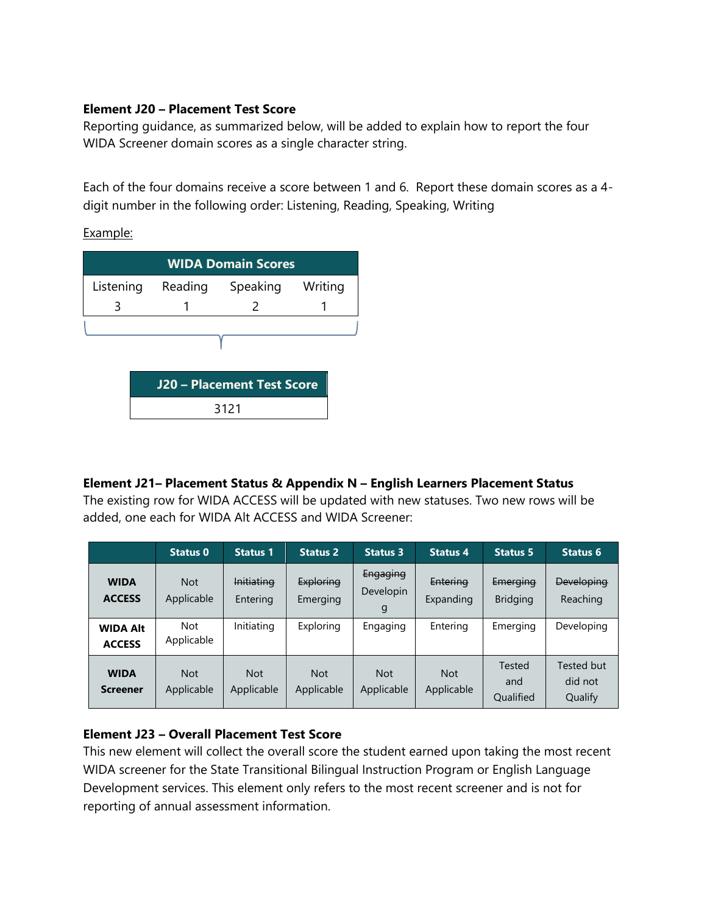#### **Element J20 – Placement Test Score**

Reporting guidance, as summarized below, will be added to explain how to report the four WIDA Screener domain scores as a single character string.

Each of the four domains receive a score between 1 and 6. Report these domain scores as a 4 digit number in the following order: Listening, Reading, Speaking, Writing

Example:

| <b>WIDA Domain Scores</b>         |                     |   |         |  |
|-----------------------------------|---------------------|---|---------|--|
| Listening                         | Reading<br>Speaking |   | Writing |  |
|                                   |                     | 2 |         |  |
|                                   |                     |   |         |  |
| <b>J20 - Placement Test Score</b> |                     |   |         |  |
|                                   | 3121                |   |         |  |

## **Element J21– Placement Status & Appendix N – English Learners Placement Status**

The existing row for WIDA ACCESS will be updated with new statuses. Two new rows will be added, one each for WIDA Alt ACCESS and WIDA Screener:

|                                  | Status 0                 | <b>Status 1</b>               | <b>Status 2</b>          | <b>Status 3</b>                   | <b>Status 4</b>          | <b>Status 5</b>                   | <b>Status 6</b>                  |
|----------------------------------|--------------------------|-------------------------------|--------------------------|-----------------------------------|--------------------------|-----------------------------------|----------------------------------|
| <b>WIDA</b><br><b>ACCESS</b>     | <b>Not</b><br>Applicable | <b>Initiating</b><br>Entering | Exploring<br>Emerging    | Engaging<br><b>Developin</b><br>g | Entering<br>Expanding    | Emerging<br><b>Bridging</b>       | <b>Developing</b><br>Reaching    |
| <b>WIDA Alt</b><br><b>ACCESS</b> | <b>Not</b><br>Applicable | Initiating                    | Exploring                | Engaging                          | Entering                 | Emerging                          | Developing                       |
| <b>WIDA</b><br><b>Screener</b>   | <b>Not</b><br>Applicable | <b>Not</b><br>Applicable      | <b>Not</b><br>Applicable | <b>Not</b><br>Applicable          | <b>Not</b><br>Applicable | Tested<br>and<br><b>Qualified</b> | Tested but<br>did not<br>Qualify |

#### **Element J23 – Overall Placement Test Score**

This new element will collect the overall score the student earned upon taking the most recent WIDA screener for the State Transitional Bilingual Instruction Program or English Language Development services. This element only refers to the most recent screener and is not for reporting of annual assessment information.